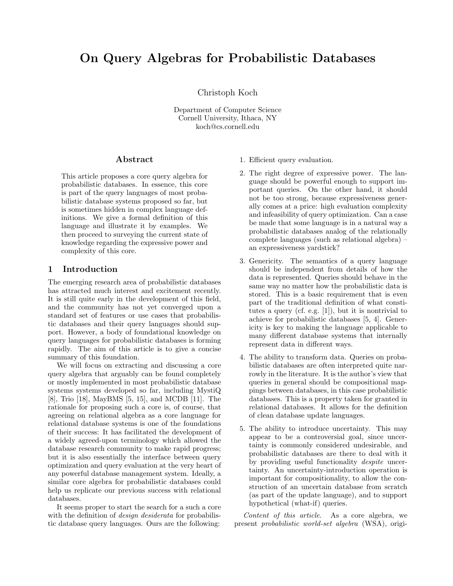# On Query Algebras for Probabilistic Databases

Christoph Koch

Department of Computer Science Cornell University, Ithaca, NY koch@cs.cornell.edu

## Abstract

This article proposes a core query algebra for probabilistic databases. In essence, this core is part of the query languages of most probabilistic database systems proposed so far, but is sometimes hidden in complex language definitions. We give a formal definition of this language and illustrate it by examples. We then proceed to surveying the current state of knowledge regarding the expressive power and complexity of this core.

# 1 Introduction

The emerging research area of probabilistic databases has attracted much interest and excitement recently. It is still quite early in the development of this field, and the community has not yet converged upon a standard set of features or use cases that probabilistic databases and their query languages should support. However, a body of foundational knowledge on query languages for probabilistic databases is forming rapidly. The aim of this article is to give a concise summary of this foundation.

We will focus on extracting and discussing a core query algebra that arguably can be found completely or mostly implemented in most probabilistic database systems systems developed so far, including MystiQ [8], Trio [18], MayBMS [5, 15], and MCDB [11]. The rationale for proposing such a core is, of course, that agreeing on relational algebra as a core language for relational database systems is one of the foundations of their success: It has facilitated the development of a widely agreed-upon terminology which allowed the database research community to make rapid progress; but it is also essentially the interface between query optimization and query evaluation at the very heart of any powerful database management system. Ideally, a similar core algebra for probabilistic databases could help us replicate our previous success with relational databases.

It seems proper to start the search for a such a core with the definition of *design desiderata* for probabilistic database query languages. Ours are the following:

- 1. Efficient query evaluation.
- 2. The right degree of expressive power. The language should be powerful enough to support important queries. On the other hand, it should not be too strong, because expressiveness generally comes at a price: high evaluation complexity and infeasibility of query optimization. Can a case be made that some language is in a natural way a probabilistic databases analog of the relationally complete languages (such as relational algebra) – an expressiveness yardstick?
- 3. Genericity. The semantics of a query language should be independent from details of how the data is represented. Queries should behave in the same way no matter how the probabilistic data is stored. This is a basic requirement that is even part of the traditional definition of what constitutes a query (cf. e.g. [1]), but it is nontrivial to achieve for probabilistic databases [5, 4]. Genericity is key to making the language applicable to many different database systems that internally represent data in different ways.
- 4. The ability to transform data. Queries on probabilistic databases are often interpreted quite narrowly in the literature. It is the author's view that queries in general should be compositional mappings between databases, in this case probabilistic databases. This is a property taken for granted in relational databases. It allows for the definition of clean database update languages.
- 5. The ability to introduce uncertainty. This may appear to be a controversial goal, since uncertainty is commonly considered undesirable, and probabilistic databases are there to deal with it by providing useful functionality despite uncertainty. An uncertainty-introduction operation is important for compositionality, to allow the construction of an uncertain database from scratch (as part of the update language), and to support hypothetical (what-if) queries.

Content of this article. As a core algebra, we present probabilistic world-set algebra (WSA), origi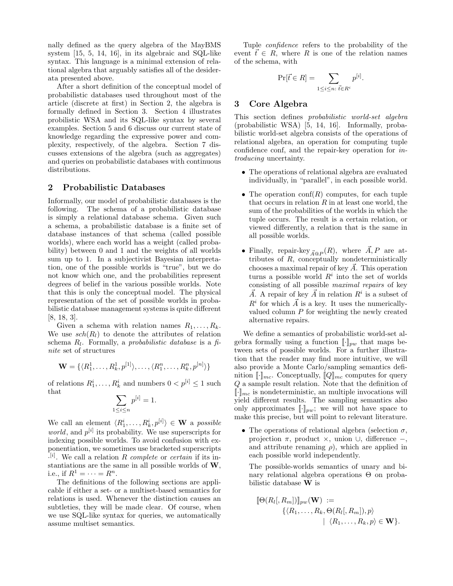nally defined as the query algebra of the MayBMS system [15, 5, 14, 16], in its algebraic and SQL-like syntax. This language is a minimal extension of relational algebra that arguably satisfies all of the desiderata presented above.

After a short definition of the conceptual model of probabilistic databases used throughout most of the article (discrete at first) in Section 2, the algebra is formally defined in Section 3. Section 4 illustrates probilistic WSA and its SQL-like syntax by several examples. Section 5 and 6 discuss our current state of knowledge regarding the expressive power and complexity, respectively, of the algebra. Section 7 discusses extensions of the algebra (such as aggregates) and queries on probabilistic databases with continuous distributions.

## 2 Probabilistic Databases

Informally, our model of probabilistic databases is the following. The schema of a probabilistic database is simply a relational database schema. Given such a schema, a probabilistic database is a finite set of database instances of that schema (called possible worlds), where each world has a weight (called probability) between 0 and 1 and the weights of all worlds sum up to 1. In a subjectivist Bayesian interpretation, one of the possible worlds is "true", but we do not know which one, and the probabilities represent degrees of belief in the various possible worlds. Note that this is only the conceptual model. The physical representation of the set of possible worlds in probabilistic database management systems is quite different [8, 18, 3].

Given a schema with relation names  $R_1, \ldots, R_k$ . We use  $sch(R_l)$  to denote the attributes of relation schema  $R_l$ . Formally, a *probabilistic database* is a  $f_l$ nite set of structures

$$
\mathbf{W} = \{ \langle R_1^1, \ldots, R_k^1, p^{[1]} \rangle, \ldots, \langle R_1^n, \ldots, R_k^n, p^{[n]} \rangle \}
$$

of relations  $R_1^i, \ldots, R_k^i$  and numbers  $0 < p^{[i]} \leq 1$  such that

$$
\sum_{1 \le i \le n} p^{[i]} = 1.
$$

We call an element  $\langle R_1^i, \ldots, R_k^i, p^{[i]} \rangle \in \mathbf{W}$  a possible *world*, and  $p^{[i]}$  its probability. We use superscripts for indexing possible worlds. To avoid confusion with exponentiation, we sometimes use bracketed superscripts  $\overline{E}^{[i]}$ . We call a relation R complete or certain if its instantiations are the same in all possible worlds of  $W$ , i.e., if  $R^1 = \cdots = R^n$ .

The definitions of the following sections are applicable if either a set- or a multiset-based semantics for relations is used. Whenever the distinction causes an subtleties, they will be made clear. Of course, when we use SQL-like syntax for queries, we automatically assume multiset semantics.

Tuple confidence refers to the probability of the event  $\vec{t} \in R$ , where R is one of the relation names of the schema, with

$$
\Pr[\vec{t} \in R] = \sum_{1 \le i \le n: \ \vec{t} \in R^i} p^{[i]}.
$$

## 3 Core Algebra

This section defines probabilistic world-set algebra (probabilistic WSA) [5, 14, 16]. Informally, probabilistic world-set algebra consists of the operations of relational algebra, an operation for computing tuple confidence conf, and the repair-key operation for introducing uncertainty.

- The operations of relational algebra are evaluated individually, in "parallel", in each possible world.
- The operation  $\text{conf}(R)$  computes, for each tuple that occurs in relation  $R$  in at least one world, the sum of the probabilities of the worlds in which the tuple occurs. The result is a certain relation, or viewed differently, a relation that is the same in all possible worlds.
- Finally, repair-key  $\bar{A}_{\mathcal{Q}}(R)$ , where  $\bar{A}$ , P are attributes of R, conceptually nondeterministically chooses a maximal repair of key  $\vec{A}$ . This operation turns a possible world  $R<sup>i</sup>$  into the set of worlds consisting of all possible maximal repairs of key  $\vec{A}$ . A repair of key  $\vec{A}$  in relation  $R^i$  is a subset of  $R^i$  for which  $\vec{A}$  is a key. It uses the numericallyvalued column  $P$  for weighting the newly created alternative repairs.

We define a semantics of probabilistic world-set algebra formally using a function  $[\cdot]_{pw}$  that maps between sets of possible worlds. For a further illustration that the reader may find more intuitive, we will also provide a Monte Carlo/sampling semantics definition  $[\![\cdot]\!]_{mc}$ . Conceptually,  $[\![Q]\!]_{mc}$  computes for query Q a sample result relation. Note that the definition of  $[\cdot]_{mc}$  is nondeterministic, an multiple invocations will yield different results. The sampling semantics also only approximates  $[\![\cdot]\!]_{pw}$ ; we will not have space to make this precise, but will point to relevant literature.

• The operations of relational algebra (selection  $\sigma$ , projection  $\pi$ , product  $\times$ , union  $\cup$ , difference –, and attribute renaming  $\rho$ , which are applied in each possible world independently.

The possible-worlds semantics of unary and binary relational algebra operations Θ on probabilistic database W is

$$
\begin{aligned} [\![\Theta(R_l[, R_m])]\!]_{pw}(\mathbf{W}) &:= \\ &\{ \langle R_1, \ldots, R_k, \Theta(R_l[, R_m]), p \rangle \\ &|\langle R_1, \ldots, R_k, p \rangle \in \mathbf{W} \}. \end{aligned}
$$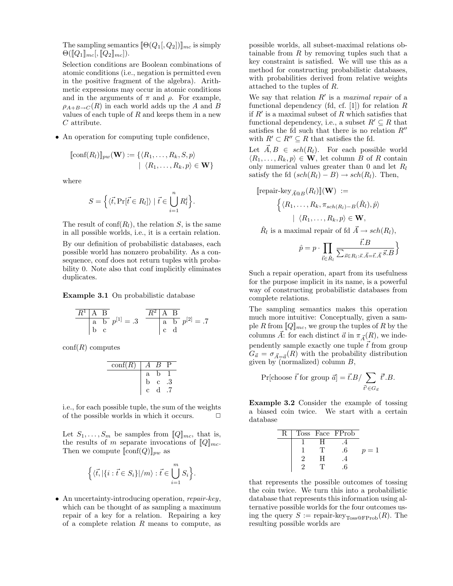The sampling semantics  $[\Theta(Q_1], Q_2)]_{mc}$  is simply  $\Theta(\llbracket Q_1 \rrbracket_{mc}, \llbracket Q_2 \rrbracket_{mc}).$ 

Selection conditions are Boolean combinations of atomic conditions (i.e., negation is permitted even in the positive fragment of the algebra). Arithmetic expressions may occur in atomic conditions and in the arguments of  $\pi$  and  $\rho$ . For example,  $\rho_{A+B\rightarrow C}(R)$  in each world adds up the A and B values of each tuple of  $R$  and keeps them in a new C attribute.

• An operation for computing tuple confidence,

$$
\lbrack \text{conf}(R_l) \rbrack_{pw}(\mathbf{W}) := \{ \langle R_1, \ldots, R_k, S, p \rangle \\ \mid \langle R_1, \ldots, R_k, p \rangle \in \mathbf{W} \}
$$

where

$$
S = \Big\{ \langle \vec{t}, \Pr[\vec{t} \in R_l] \rangle \mid \vec{t} \in \bigcup_{i=1}^n R_l^i \Big\}.
$$

The result of  $\text{conf}(R_l)$ , the relation S, is the same in all possible worlds, i.e., it is a certain relation.

By our definition of probabilistic databases, each possible world has nonzero probability. As a consequence, conf does not return tuples with probability 0. Note also that conf implicitly eliminates duplicates.

#### Example 3.1 On probabilistic database

$$
\frac{\boxed{R^1 \mid A \mid B}}{\begin{array}{ccccc} a & b \\ b & c \end{array}} p^{[1]} = .3 \quad \frac{\boxed{R^2 \mid A \mid B}}{\begin{array}{ccccc} a & b \\ c & d \end{array}} p^{[2]} = .7
$$

 $\text{conf}(R)$  computes

$$
\begin{array}{c|cc}\n\hline\n\text{conf}(R) & A & B & P \\
\hline\na & b & 1 \\
b & c & 3 \\
c & d & .7\n\end{array}
$$

i.e., for each possible tuple, the sum of the weights of the possible worlds in which it occurs.  $\Box$ 

Let  $S_1, \ldots, S_m$  be samples from  $[Q]_{mc}$ , that is, the results of m separate invocations of  $[Q]_{mc}$ . Then we compute  $[\text{conf}(Q)]_{pw}$  as

$$
\Big\{\langle \vec{t}, |\{i : \vec{t} \in S_i\}|/m \rangle : \vec{t} \in \bigcup_{i=1}^m S_i\Big\}.
$$

• An uncertainty-introducing operation, repair-key, which can be thought of as sampling a maximum repair of a key for a relation. Repairing a key of a complete relation  $R$  means to compute, as possible worlds, all subset-maximal relations obtainable from  $R$  by removing tuples such that a key constraint is satisfied. We will use this as a method for constructing probabilistic databases, with probabilities derived from relative weights attached to the tuples of R.

We say that relation  $R'$  is a maximal repair of a functional dependency (fd, cf.  $[1]$ ) for relation R if  $R'$  is a maximal subset of R which satisfies that functional dependency, i.e., a subset  $R' \subseteq R$  that satisfies the fd such that there is no relation  $R''$ with  $R' \subset R'' \subset R$  that satisfies the fd.

Let  $\vec{A}, \vec{B} \in sch(R_l)$ . For each possible world  $\langle R_1, \ldots, R_k, p \rangle \in \mathbf{W}$ , let column B of R contain only numerical values greater than 0 and let  $R_l$ satisfy the fd  $(sch(R_l) - B) \rightarrow sch(R_l)$ . Then,

[repair-key
$$
\vec{A}_{\text{QB}}(R_l)
$$
](**W**) :=  
\n
$$
\left\{ \langle R_1, \dots, R_k, \pi_{sch(R_l) - B}(\hat{R}_l), \hat{p} \rangle \right\}
$$
\n
$$
|\langle R_1, \dots, R_k, p \rangle \in \mathbf{W},
$$
\n $\hat{p}$  is a maximal matrix of  $\mathbb{S}^1$ ,  $\vec{q}$ , and  $\langle R \rangle$ .

 $\hat{R}_l$  is a maximal repair of fd  $\vec{A} \rightarrow sch(R_l)$ ,

$$
\hat{p} = p \cdot \prod_{\vec{t} \in \hat{R}_l} \frac{\vec{t} \cdot B}{\sum_{\vec{s} \in R_l : \vec{s} \cdot \vec{A} = \vec{t} \cdot \vec{A}} \vec{s} \cdot B} \bigg\}
$$

Such a repair operation, apart from its usefulness for the purpose implicit in its name, is a powerful way of constructing probabilistic databases from complete relations.

The sampling semantics makes this operation much more intuitive: Conceptually, given a sample R from  $[Q]_{mc}$ , we group the tuples of R by the columns  $\vec{A}$ : for each distinct  $\vec{a}$  in  $\pi_{\vec{A}}(R)$ , we independently sample exactly one tuple  $\tilde{t}$  from group  $G_{\vec{a}} = \sigma_{\vec{A}=\vec{a}}(R)$  with the probability distribution given by (normalized) column B,

$$
\Pr[\text{choose } \vec{t} \text{ for group } \vec{a}] = \vec{t}.B / \sum_{\vec{t'} \in G_{\vec{a}}} \vec{t'}.B.
$$

Example 3.2 Consider the example of tossing a biased coin twice. We start with a certain database

|  |   | Toss Face FProb |       |
|--|---|-----------------|-------|
|  |   |                 |       |
|  |   | .6              | $p=1$ |
|  | н |                 |       |
|  |   |                 |       |

that represents the possible outcomes of tossing the coin twice. We turn this into a probabilistic database that represents this information using alternative possible worlds for the four outcomes using the query  $S := \text{ repair-key}_{\text{Toss@FProb}}(R)$ . The resulting possible worlds are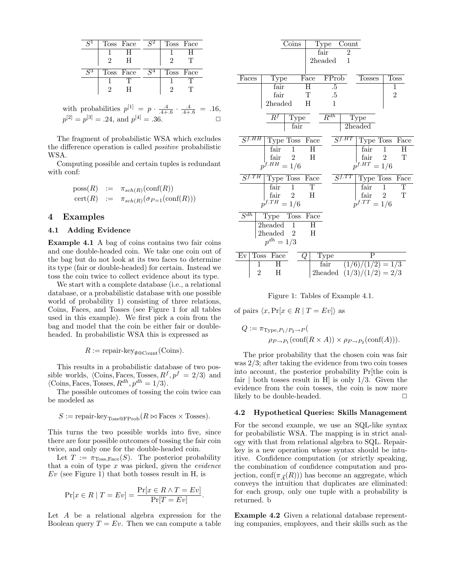|       |           | Toss Face |       | Toss Face |
|-------|-----------|-----------|-------|-----------|
|       |           |           |       |           |
|       |           | H         |       |           |
|       |           |           |       |           |
| $S^3$ | Toss Face |           | $S^4$ | Toss Face |
|       |           |           |       |           |

with probabilities 
$$
p^{[1]} = p \cdot \frac{4}{4+6} \cdot \frac{4}{4+6} = .16
$$
,  
 $p^{[2]} = p^{[3]} = .24$ , and  $p^{[4]} = .36$ .

The fragment of probabilistic WSA which excludes the difference operation is called positive probabilistic WSA.

Computing possible and certain tuples is redundant with conf:

$$
\begin{array}{rcl}\n\text{poss}(R) & := & \pi_{sch(R)}(\text{conf}(R)) \\
\text{cert}(R) & := & \pi_{sch(R)}(\sigma_{P=1}(\text{conf}(R)))\n\end{array}
$$

## 4 Examples

#### 4.1 Adding Evidence

Example 4.1 A bag of coins contains two fair coins and one double-headed coin. We take one coin out of the bag but do not look at its two faces to determine its type (fair or double-headed) for certain. Instead we toss the coin twice to collect evidence about its type.

We start with a complete database (i.e., a relational database, or a probabilistic database with one possible world of probability 1) consisting of three relations, Coins, Faces, and Tosses (see Figure 1 for all tables used in this example). We first pick a coin from the bag and model that the coin be either fair or doubleheaded. In probabilistic WSA this is expressed as

$$
R := \text{repair-key}_{\emptyset \text{QCount}}(\text{Coins}).
$$

This results in a probabilistic database of two possible worlds,  $\langle \text{Coins}, \text{Faces}, \text{Tosses}, R^f, p^f = 2/3 \rangle$  and  $\langle \text{Coins}, \text{Faces}, \text{Tosses}, R^{dh}, p^{dh} = 1/3 \rangle.$ 

The possible outcomes of tossing the coin twice can be modeled as

$$
S := \text{repair-key}_{\text{Toss@FProb}}(R \bowtie \text{Faces} \times \text{Tosses}).
$$

This turns the two possible worlds into five, since there are four possible outcomes of tossing the fair coin twice, and only one for the double-headed coin.

Let  $T := \pi_{\text{Toss},\text{Face}}(S)$ . The posterior probability that a coin of type  $x$  was picked, given the *evidence*  $Ev$  (see Figure 1) that both tosses result in H, is

$$
\Pr[x \in R \mid T = Ev] = \frac{\Pr[x \in R \land T = Ev]}{\Pr[T = Ev]}.
$$

Let A be a relational algebra expression for the Boolean query  $T = Ev$ . Then we can compute a table

|          |                       |                |                                               | $\overline{\mathrm{Coins}}$           |              |                         |                     |              | Type Count     |                                                                                              |  |                         |
|----------|-----------------------|----------------|-----------------------------------------------|---------------------------------------|--------------|-------------------------|---------------------|--------------|----------------|----------------------------------------------------------------------------------------------|--|-------------------------|
|          |                       |                |                                               |                                       |              |                         | fair                |              | $\overline{2}$ |                                                                                              |  |                         |
|          |                       |                |                                               |                                       |              | $2$ headed $1$          |                     |              |                |                                                                                              |  |                         |
|          |                       |                |                                               |                                       |              |                         |                     |              |                |                                                                                              |  |                         |
| Faces    |                       |                | Type                                          |                                       |              | Face FProb              |                     |              |                | <b>Tosses</b>                                                                                |  | <b>Toss</b>             |
|          |                       |                | fair                                          |                                       | Η            |                         |                     | .5           |                |                                                                                              |  | 1                       |
|          |                       |                | fair                                          |                                       | $\mathbf{T}$ |                         |                     | .5           |                |                                                                                              |  | $\overline{2}$          |
|          |                       |                | $2$ headed                                    |                                       | $_{\rm H}$   |                         |                     | $\mathbf{1}$ |                |                                                                                              |  |                         |
|          |                       |                | $R^f$                                         | Type                                  |              |                         | $\overline{R^{dh}}$ |              |                | Type                                                                                         |  |                         |
|          |                       |                |                                               | fair                                  |              |                         |                     |              |                | 2headed                                                                                      |  |                         |
|          |                       |                |                                               |                                       |              |                         |                     |              |                |                                                                                              |  |                         |
|          | $\overline{S^{f.HH}}$ |                |                                               | Type Toss Face                        |              |                         |                     |              | $S^{f.HT}$     | Type Toss Face                                                                               |  |                         |
|          |                       |                | fair                                          | $\begin{array}{c} \hline \end{array}$ |              | $\overline{\mathrm{H}}$ |                     |              |                | $fair \quad 1$                                                                               |  | $\overline{\mathrm{H}}$ |
|          |                       |                |                                               | fair $2$                              |              | H                       |                     |              |                | fair $2$                                                                                     |  | $\mathbf T$             |
|          |                       |                | $p^{f.HH} = 1/6$                              |                                       |              |                         |                     |              |                | $p^{f.HT} = 1/6$                                                                             |  |                         |
|          |                       |                | $\overline{S^{f.TH}   \text{Type Toss}}$ Face |                                       |              |                         |                     |              |                | $\overline{S^{f.TT}\, \, \mathrm{Type}}$ Toss_Face                                           |  |                         |
|          |                       |                | fair $1$                                      |                                       |              | T                       |                     |              |                |                                                                                              |  | $\overline{\mathbf{T}}$ |
|          |                       |                |                                               | fair $2$                              |              | $\overline{\mathbf{H}}$ |                     |              |                |                                                                                              |  | $\mathbf{T}$            |
|          |                       |                | $p^{f.TH} = 1/6$                              |                                       |              |                         |                     |              |                | $\begin{array}{c}\n\text{fair} & 1 \\ \text{fair} & 2 \\ \text{p}^{f.TT} = 1/6\n\end{array}$ |  |                         |
| $S^{dh}$ |                       |                | Type Toss Face                                |                                       |              |                         |                     |              |                |                                                                                              |  |                         |
|          |                       |                | $2$ headed $1$                                |                                       |              | Η                       |                     |              |                |                                                                                              |  |                         |
|          |                       |                | 2headed $2$ H                                 |                                       |              |                         |                     |              |                |                                                                                              |  |                         |
|          |                       |                | $p^{dh} = 1/3$                                |                                       |              |                         |                     |              |                |                                                                                              |  |                         |
|          |                       |                |                                               |                                       |              |                         |                     |              |                |                                                                                              |  |                         |
| $E_V$    |                       |                | Toss Face                                     |                                       | Q            |                         | Type                |              |                | P                                                                                            |  |                         |
|          |                       | 1              | Η                                             |                                       |              |                         | fair                |              |                | $\frac{(1/6)}{(1/2)} = 1/3$                                                                  |  |                         |
|          |                       | $\overline{2}$ | Η                                             |                                       |              |                         | 2headed             |              |                | $\frac{1}{3}/\frac{1}{2} = \frac{2}{3}$                                                      |  |                         |

Figure 1: Tables of Example 4.1.

of pairs  $\langle x, \Pr[x \in R | T = Ev] \rangle$  as

$$
Q := \pi_{\text{Type}, P_1/P_2 \to P}(\n \rho_{P \to P_1}(\text{conf}(R \times A)) \times \rho_{P \to P_2}(\text{conf}(A))).
$$

The prior probability that the chosen coin was fair was 2/3; after taking the evidence from two coin tosses into account, the posterior probability Pr[the coin is fair | both tosses result in H is only  $1/3$ . Given the evidence from the coin tosses, the coin is now more likely to be double-headed.  $\Box$ 

#### 4.2 Hypothetical Queries: Skills Management

For the second example, we use an SQL-like syntax for probabilistic WSA. The mapping is in strict analogy with that from relational algebra to SQL. Repairkey is a new operation whose syntax should be intuitive. Confidence computation (or strictly speaking, the combination of confidence computation and projection, conf( $\pi_{\vec{A}}(R)$ )) has become an aggregate, which conveys the intuition that duplicates are eliminated: for each group, only one tuple with a probability is returned. b

Example 4.2 Given a relational database representing companies, employees, and their skills such as the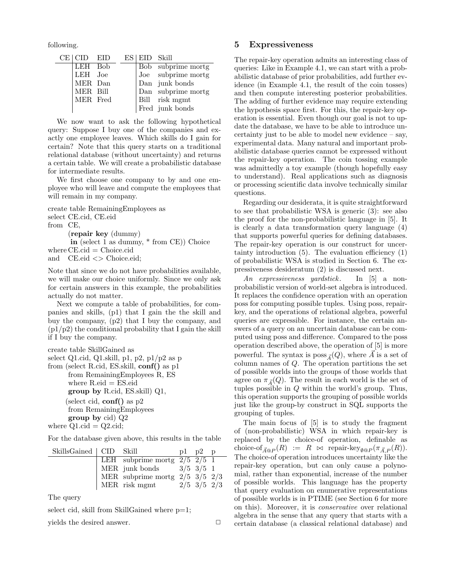following.

| CE. | CID)     | – EID | ES EID Skill |                    |
|-----|----------|-------|--------------|--------------------|
|     | LEH Bob  |       |              | Bob subprime mortg |
|     | LEH Joe  |       |              | Joe subprime mortg |
|     | MER Dan  |       |              | Dan junk bonds     |
|     | MER Bill |       |              | Dan subprime mortg |
|     | MER Fred |       |              | Bill risk mgmt     |
|     |          |       |              | Fred junk bonds    |

We now want to ask the following hypothetical query: Suppose I buy one of the companies and exactly one employee leaves. Which skills do I gain for certain? Note that this query starts on a traditional relational database (without uncertainty) and returns a certain table. We will create a probabilistic database for intermediate results.

We first choose one company to by and one employee who will leave and compute the employees that will remain in my company.

create table RemainingEmployees as select CE.cid, CE.eid from CE, (repair key (dummy) in (select 1 as dummy, \* from CE)) Choice where  $CE$ .cid = Choice.cid and CE.eid <> Choice.eid;

Note that since we do not have probabilities available, we will make our choice uniformly. Since we only ask for certain answers in this example, the probabilities actually do not matter.

Next we compute a table of probabilities, for companies and skills, (p1) that I gain the the skill and buy the company, (p2) that I buy the company, and  $(p1/p2)$  the conditional probability that I gain the skill if I buy the company.

```
create table SkillGained as
select Q1.cid, Q1.skill, p1, p2, p1/p2 as p
from (select R.cid, ES.skill, conf() as p1
      from RemainingEmployees R, ES
      where R.eid = ES.eidgroup by R.cid, ES.skill) Q1,
     (select cid, \text{conf}() as p2from RemainingEmployees
      group by cid) Q2
where Q1.cid = Q2.cid;
```
For the database given above, this results in the table

| SkillsGained   CID Skill |                                    | $p1$ $p2$ $p$   |  |
|--------------------------|------------------------------------|-----------------|--|
|                          | LEH subprime mortg $2/5$ 2/5 1     |                 |  |
|                          | MER junk bonds $3/5$ $3/5$ 1       |                 |  |
|                          | MER subprime mortg $2/5$ 3/5 $2/3$ |                 |  |
|                          | MER risk mgmt                      | $2/5$ 3/5 $2/3$ |  |

The query

select cid, skill from SkillGained where  $p=1$ ;

yields the desired answer.  $\Box$ 

## 5 Expressiveness

The repair-key operation admits an interesting class of queries: Like in Example 4.1, we can start with a probabilistic database of prior probabilities, add further evidence (in Example 4.1, the result of the coin tosses) and then compute interesting posterior probabilities. The adding of further evidence may require extending the hypothesis space first. For this, the repair-key operation is essential. Even though our goal is not to update the database, we have to be able to introduce uncertainty just to be able to model new evidence – say, experimental data. Many natural and important probabilistic database queries cannot be expressed without the repair-key operation. The coin tossing example was admittedly a toy example (though hopefully easy to understand). Real applications such as diagnosis or processing scientific data involve technically similar questions.

Regarding our desiderata, it is quite straightforward to see that probabilistic WSA is generic (3): see also the proof for the non-probabilistic language in [5]. It is clearly a data transformation query language (4) that supports powerful queries for defining databases. The repair-key operation is our construct for uncertainty introduction  $(5)$ . The evaluation efficiency  $(1)$ of probabilistic WSA is studied in Section 6. The expressiveness desideratum (2) is discussed next.

An expressiveness yardstick. In [5] a nonprobabilistic version of world-set algebra is introduced. It replaces the confidence operation with an operation poss for computing possible tuples. Using poss, repairkey, and the operations of relational algebra, powerful queries are expressible. For instance, the certain answers of a query on an uncertain database can be computed using poss and difference. Compared to the poss operation described above, the operation of [5] is more powerful. The syntax is poss  $_{\vec{A}}(Q)$ , where  $\vec{A}$  is a set of column names of  $Q$ . The operation partitions the set of possible worlds into the groups of those worlds that agree on  $\pi_{\vec{A}}(Q)$ . The result in each world is the set of tuples possible in Q within the world's group. Thus, this operation supports the grouping of possible worlds just like the group-by construct in SQL supports the grouping of tuples.

The main focus of [5] is to study the fragment of (non-probabilistic) WSA in which repair-key is replaced by the choice-of operation, definable as choice-of<sub> $\vec{A}^{\otimes P}(R) := R \bowtie \text{ repair-key}_{\emptyset \otimes P}(\pi_{\vec{A},P}(R)).$ </sub> The choice-of operation introduces uncertainty like the repair-key operation, but can only cause a polynomial, rather than exponential, increase of the number of possible worlds. This language has the property that query evaluation on enumerative representations of possible worlds is in PTIME (see Section 6 for more on this). Moreover, it is conservative over relational algebra in the sense that any query that starts with a certain database (a classical relational database) and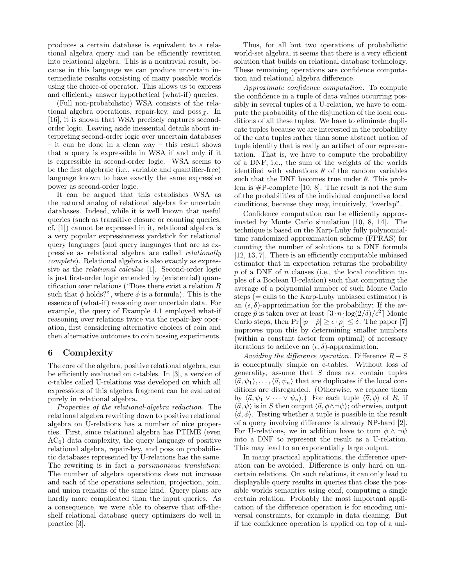produces a certain database is equivalent to a relational algebra query and can be efficiently rewritten into relational algebra. This is a nontrivial result, because in this language we can produce uncertain intermediate results consisting of many possible worlds using the choice-of operator. This allows us to express and efficiently answer hypothetical (what-if) queries.

(Full non-probabilistic) WSA consists of the relational algebra operations, repair-key, and  $\text{poss}_{\vec{A}}$ . In [16], it is shown that WSA precisely captures secondorder logic. Leaving aside inessential details about interpreting second-order logic over uncertain databases – it can be done in a clean way – this result shows that a query is expressible in WSA if and only if it is expressible in second-order logic. WSA seems to be the first algebraic (i.e., variable and quantifier-free) language known to have exactly the same expressive power as second-order logic.

It can be argued that this establishes WSA as the natural analog of relational algebra for uncertain databases. Indeed, while it is well known that useful queries (such as transitive closure or counting queries, cf. [1]) cannot be expressed in it, relational algebra is a very popular expressiveness yardstick for relational query languages (and query languages that are as expressive as relational algebra are called relationally complete). Relational algebra is also exactly as expressive as the relational calculus [1]. Second-order logic is just first-order logic extended by (existential) quantification over relations ("Does there exist a relation R such that  $\phi$  holds?", where  $\phi$  is a formula). This is the essence of (what-if) reasoning over uncertain data. For example, the query of Example 4.1 employed what-if reasoning over relations twice via the repair-key operation, first considering alternative choices of coin and then alternative outcomes to coin tossing experiments.

# 6 Complexity

The core of the algebra, positive relational algebra, can be efficiently evaluated on c-tables. In [3], a version of c-tables called U-relations was developed on which all expressions of this algebra fragment can be evaluated purely in relational algebra.

Properties of the relational-algebra reduction. The relational algebra rewriting down to positive relational algebra on U-relations has a number of nice properties. First, since relational algebra has PTIME (even  $AC<sub>0</sub>$ ) data complexity, the query language of positive relational algebra, repair-key, and poss on probabilistic databases represented by U-relations has the same. The rewriting is in fact a parsimonious translation: The number of algebra operations does not increase and each of the operations selection, projection, join, and union remains of the same kind. Query plans are hardly more complicated than the input queries. As a consequence, we were able to observe that off-theshelf relational database query optimizers do well in practice [3].

Thus, for all but two operations of probabilistic world-set algebra, it seems that there is a very efficient solution that builds on relational database technology. These remaining operations are confidence computation and relational algebra difference.

Approximate confidence computation. To compute the confidence in a tuple of data values occurring possibly in several tuples of a U-relation, we have to compute the probability of the disjunction of the local conditions of all these tuples. We have to eliminate duplicate tuples because we are interested in the probability of the data tuples rather than some abstract notion of tuple identity that is really an artifact of our representation. That is, we have to compute the probability of a DNF, i.e., the sum of the weights of the worlds identified with valuations  $\theta$  of the random variables such that the DNF becomes true under  $\theta$ . This problem is  $#P$ -complete [10, 8]. The result is not the sum of the probabilities of the individual conjunctive local conditions, because they may, intuitively, "overlap".

Confidence computation can be efficiently approximated by Monte Carlo simulation [10, 8, 14]. The technique is based on the Karp-Luby fully polynomialtime randomized approximation scheme (FPRAS) for counting the number of solutions to a DNF formula [12, 13, 7]. There is an efficiently computable unbiased estimator that in expectation returns the probability  $p$  of a DNF of  $n$  clauses (i.e., the local condition tuples of a Boolean U-relation) such that computing the average of a polynomial number of such Monte Carlo steps  $(=$  calls to the Karp-Luby unbiased estimator) is an  $(\epsilon, \delta)$ -approximation for the probability: If the average  $\hat{p}$  is taken over at least  $\left[3 \cdot n \cdot \log(2/\delta)/\epsilon^2\right]$  Monte Carlo steps, then  $Pr[|p - \hat{p}| \ge \epsilon \cdot p] \le \delta$ . The paper [7] improves upon this by determining smaller numbers (within a constant factor from optimal) of necessary iterations to achieve an  $(\epsilon, \delta)$ -approximation.

Avoiding the difference operation. Difference  $R-S$ is conceptually simple on c-tables. Without loss of generality, assume that  $S$  does not contain tuples  $\langle \vec{a}, \psi_1 \rangle, \ldots, \langle \vec{a}, \psi_n \rangle$  that are duplicates if the local conditions are disregarded. (Otherwise, we replace them by  $\langle \vec{a}, \psi_1 \vee \cdots \vee \psi_n \rangle$ .) For each tuple  $\langle \vec{a}, \phi \rangle$  of R, if  $\langle \vec{a}, \psi \rangle$  is in S then output  $\langle \vec{a}, \phi \land \neg \psi \rangle$ ; otherwise, output  $\langle \vec{a}, \phi \rangle$ . Testing whether a tuple is possible in the result of a query involving difference is already NP-hard [2]. For U-relations, we in addition have to turn  $\phi \land \neg \psi$ into a DNF to represent the result as a U-relation. This may lead to an exponentially large output.

In many practical applications, the difference operation can be avoided. Difference is only hard on uncertain relations. On such relations, it can only lead to displayable query results in queries that close the possible worlds semantics using conf, computing a single certain relation. Probably the most important application of the difference operation is for encoding universal constraints, for example in data cleaning. But if the confidence operation is applied on top of a uni-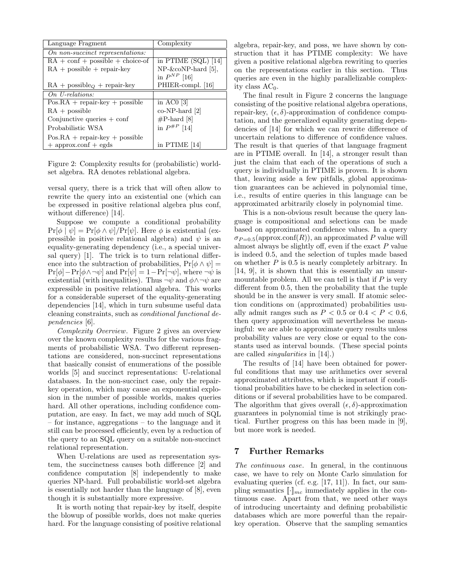| Language Fragment                  | Complexity               |  |  |  |
|------------------------------------|--------------------------|--|--|--|
| On non-succinct representations:   |                          |  |  |  |
| $RA + conf + possible + choice-of$ | in PTIME $(SQL)$ [14]    |  |  |  |
| $RA + possible + repair-key$       | $NP-$ &coNP-hard [5],    |  |  |  |
|                                    | in $P^{NP}$ [16]         |  |  |  |
| $RA + possibleQ + repair-key$      | PHIER-compl. [16]        |  |  |  |
| On U-relations:                    |                          |  |  |  |
| $Pos.RA + repair-key + possible$   | in AC <sub>0</sub> $[3]$ |  |  |  |
| $RA + possible$                    | $co-NP-hard$ [2]         |  |  |  |
| Conjunctive queries $+$ conf       | $#P$ -hard [8]           |  |  |  |
| Probabilistic WSA                  | in $P^{\#P}$ [14]        |  |  |  |
| $Pos.RA + repair-key + possible$   |                          |  |  |  |
| $+$ approx.conf $+$ egds           | in PTIME $[14]$          |  |  |  |

Figure 2: Complexity results for (probabilistic) worldset algebra. RA denotes reblational algebra.

versal query, there is a trick that will often allow to rewrite the query into an existential one (which can be expressed in positive relational algebra plus conf, without difference) [14].

Suppose we compute a conditional probability  $Pr[\phi | \psi] = Pr[\phi \wedge \psi] / Pr[\psi]$ . Here  $\phi$  is existential (expressible in positive relational algebra) and  $\psi$  is an equality-generating dependency (i.e., a special universal query) [1]. The trick is to turn relational difference into the subtraction of probabilities,  $Pr[\phi \land \psi] =$  $Pr[\phi] - Pr[\phi \land \neg \psi]$  and  $Pr[\psi] = 1 - Pr[\neg \psi]$ , where  $\neg \psi$  is existential (with inequalities). Thus  $\neg \psi$  and  $\phi \land \neg \psi$  are expressible in positive relational algebra. This works for a considerable superset of the equality-generating dependencies [14], which in turn subsume useful data cleaning constraints, such as conditional functional dependencies [6].

Complexity Overview. Figure 2 gives an overview over the known complexity results for the various fragments of probabilistic WSA. Two different representations are considered, non-succinct representations that basically consist of enumerations of the possible worlds [5] and succinct representations: U-relational databases. In the non-succinct case, only the repairkey operation, which may cause an exponential explosion in the number of possible worlds, makes queries hard. All other operations, including confidence computation, are easy. In fact, we may add much of SQL – for instance, aggregations – to the language and it still can be processed efficiently, even by a reduction of the query to an SQL query on a suitable non-succinct relational representation.

When U-relations are used as representation system, the succinctness causes both difference [2] and confidence computation [8] independently to make queries NP-hard. Full probabilistic world-set algebra is essentially not harder than the language of [8], even though it is substantially more expressive.

It is worth noting that repair-key by itself, despite the blowup of possible worlds, does not make queries hard. For the language consisting of positive relational algebra, repair-key, and poss, we have shown by construction that it has PTIME complexity: We have given a positive relational algebra rewriting to queries on the representations earlier in this section. Thus queries are even in the highly parallelizable complexity class  $AC<sub>0</sub>$ .

The final result in Figure 2 concerns the language consisting of the positive relational algebra operations, repair-key,  $(\epsilon, \delta)$ -approximation of confidence computation, and the generalized equality generating dependencies of [14] for which we can rewrite difference of uncertain relations to difference of confidence values. The result is that queries of that language fragment are in PTIME overall. In [14], a stronger result than just the claim that each of the operations of such a query is individually in PTIME is proven. It is shown that, leaving aside a few pitfalls, global approximation guarantees can be achieved in polynomial time, i.e., results of entire queries in this language can be approximated arbitrarily closely in polynomial time.

This is a non-obvious result because the query language is compositional and selections can be made based on approximated confidence values. In a query  $\sigma_{P=0.5}(\text{approx.conf}(R))$ , an approximated P value will almost always be slightly off, even if the exact  $P$  value is indeed 0.5, and the selection of tuples made based on whether  $P$  is 0.5 is nearly completely arbitrary. In [14, 9], it is shown that this is essentially an unsurmountable problem. All we can tell is that if  $P$  is very different from 0.5, then the probability that the tuple should be in the answer is very small. If atomic selection conditions on (approximated) probabilities usually admit ranges such as  $P < 0.5$  or  $0.4 < P < 0.6$ , then query approximation will nevertheless be meaningful: we are able to approximate query results unless probability values are very close or equal to the constants used as interval bounds. (These special points are called singularities in [14].)

The results of [14] have been obtained for powerful conditions that may use arithmetics over several approximated attributes, which is important if conditional probabilities have to be checked in selection conditions or if several probabilities have to be compared. The algorithm that gives overall  $(\epsilon, \delta)$ -approximation guarantees in polynomial time is not strikingly practical. Further progress on this has been made in [9], but more work is needed.

# 7 Further Remarks

The continuous case. In general, in the continuous case, we have to rely on Monte Carlo simulation for evaluating queries (cf. e.g. [17, 11]). In fact, our sampling semantics  $[\![\cdot]\!]_{mc}$  immediately applies in the continuous case. Apart from that, we need other ways of introducing uncertainty and defining probabilistic databases which are more powerful than the repairkey operation. Observe that the sampling semantics